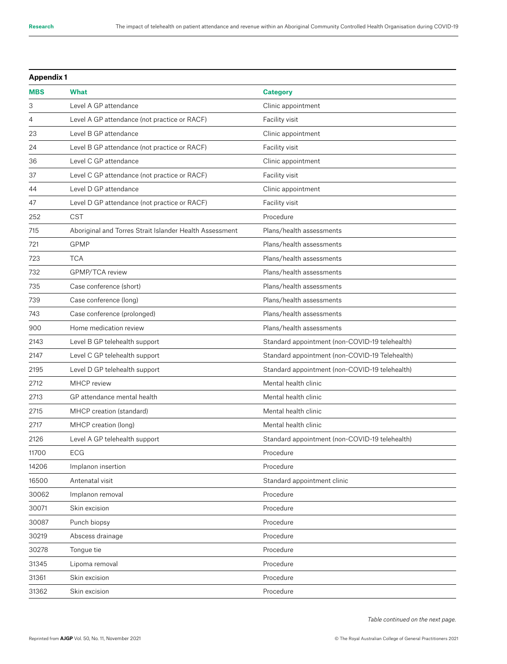| <b>Appendix 1</b> |                                                         |                                                |
|-------------------|---------------------------------------------------------|------------------------------------------------|
| <b>MBS</b>        | <b>What</b>                                             | <b>Category</b>                                |
| 3                 | Level A GP attendance                                   | Clinic appointment                             |
| 4                 | Level A GP attendance (not practice or RACF)            | Facility visit                                 |
| 23                | Level B GP attendance                                   | Clinic appointment                             |
| 24                | Level B GP attendance (not practice or RACF)            | Facility visit                                 |
| 36                | Level C GP attendance                                   | Clinic appointment                             |
| 37                | Level C GP attendance (not practice or RACF)            | Facility visit                                 |
| 44                | Level D GP attendance                                   | Clinic appointment                             |
| 47                | Level D GP attendance (not practice or RACF)            | Facility visit                                 |
| 252               | <b>CST</b>                                              | Procedure                                      |
| 715               | Aboriginal and Torres Strait Islander Health Assessment | Plans/health assessments                       |
| 721               | <b>GPMP</b>                                             | Plans/health assessments                       |
| 723               | <b>TCA</b>                                              | Plans/health assessments                       |
| 732               | GPMP/TCA review                                         | Plans/health assessments                       |
| 735               | Case conference (short)                                 | Plans/health assessments                       |
| 739               | Case conference (long)                                  | Plans/health assessments                       |
| 743               | Case conference (prolonged)                             | Plans/health assessments                       |
| 900               | Home medication review                                  | Plans/health assessments                       |
| 2143              | Level B GP telehealth support                           | Standard appointment (non-COVID-19 telehealth) |
| 2147              | Level C GP telehealth support                           | Standard appointment (non-COVID-19 Telehealth) |
| 2195              | Level D GP telehealth support                           | Standard appointment (non-COVID-19 telehealth) |
| 2712              | MHCP review                                             | Mental health clinic                           |
| 2713              | GP attendance mental health                             | Mental health clinic                           |
| 2715              | MHCP creation (standard)                                | Mental health clinic                           |
| 2717              | MHCP creation (long)                                    | Mental health clinic                           |
| 2126              | Level A GP telehealth support                           | Standard appointment (non-COVID-19 telehealth) |
| 11700             | ECG                                                     | Procedure                                      |
| 14206             | Implanon insertion                                      | Procedure                                      |
| 16500             | Antenatal visit                                         | Standard appointment clinic                    |
| 30062             | Implanon removal                                        | Procedure                                      |
| 30071             | Skin excision                                           | Procedure                                      |
| 30087             | Punch biopsy                                            | Procedure                                      |
| 30219             | Abscess drainage                                        | Procedure                                      |
| 30278             | Tongue tie                                              | Procedure                                      |
| 31345             | Lipoma removal                                          | Procedure                                      |
| 31361             | Skin excision                                           | Procedure                                      |
| 31362             | Skin excision                                           | Procedure                                      |